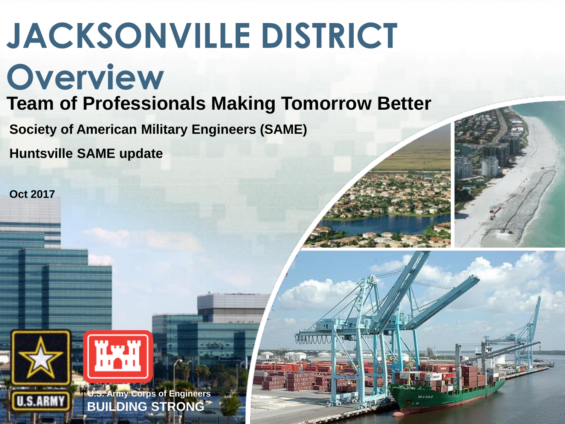### **JACKSONVILLE DISTRICT Overview Team of Professionals Making Tomorrow Better**

**Society of American Military Engineers (SAME)**

**Huntsville SAME update**

**Oct 2017**

**U.S.ARMY** 





**BUILDING STRONG U.S. Army Corps of Engineers BUILDING STRONG**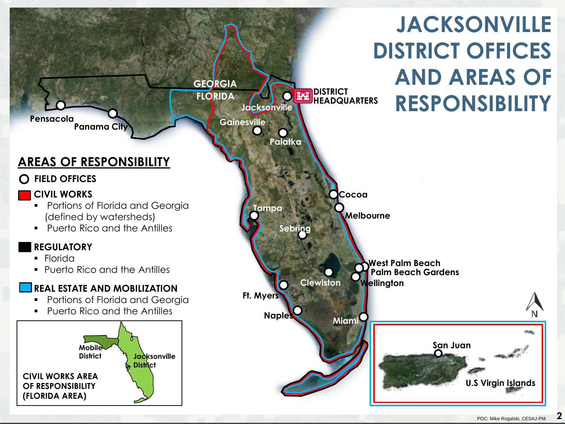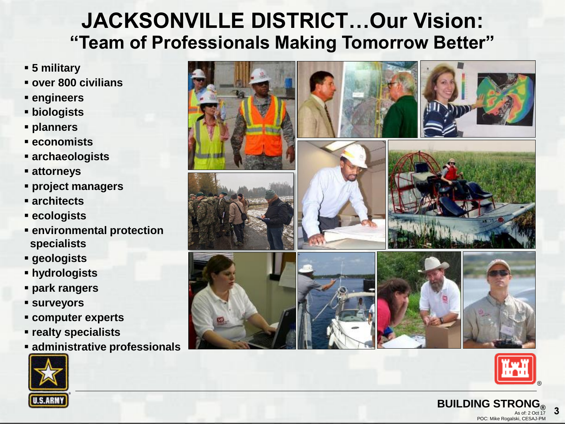#### **"Team of Professionals Making Tomorrow Better" JACKSONVILLE DISTRICT…Our Vision:**

- **5 military**
- **over 800 civilians**
- **engineers**
- **biologists**
- **planners**
- **economists**
- **archaeologists**
- **attorneys**
- **project managers**
- **architects**
- **ecologists**
- **environmental protection specialists**
- **geologists**
- **hydrologists**
- **park rangers**
- **surveyors**
- **computer experts**
- **realty specialists**
- **administrative professionals**







POC: Mike Rogalski, CESAJ-PM

As of:  $2$  Oct 17

**3**

**BUILDING STRON**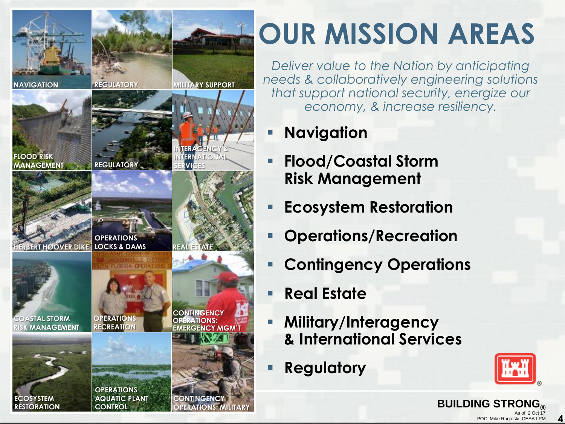

# **OUR MISSION AREAS**

*Deliver value to the Nation by anticipating needs & collaboratively engineering solutions that support national security, energize our economy, & increase resiliency.*

- **Navigation**
- **Flood/Coastal Storm Risk Management**
- **Ecosystem Restoration**
- **Operations/Recreation**
- **Contingency Operations**
- **Real Estate**
- **Military/Interagency & International Services**
- **Regulatory**



**4**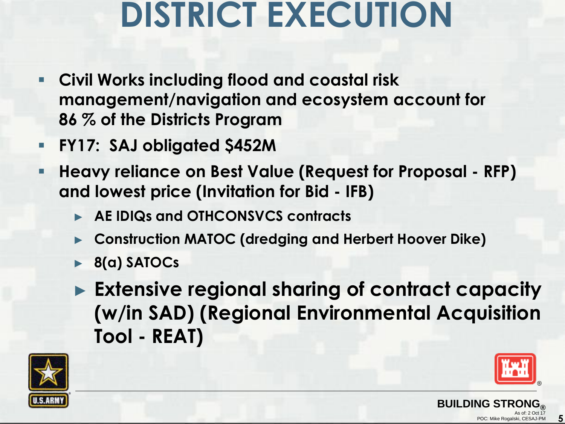# **DISTRICT EXECUTION**

- **Civil Works including flood and coastal risk management/navigation and ecosystem account for 86 % of the Districts Program**
- **FY17: SAJ obligated \$452M**
- **Heavy reliance on Best Value (Request for Proposal - RFP) and lowest price (Invitation for Bid - IFB)**
	- ► **AE IDIQs and OTHCONSVCS contracts**
	- ► **Construction MATOC (dredging and Herbert Hoover Dike)**
	- ► **8(a) SATOCs**
	- ► **Extensive regional sharing of contract capacity (w/in SAD) (Regional Environmental Acquisition Tool - REAT)**





**5**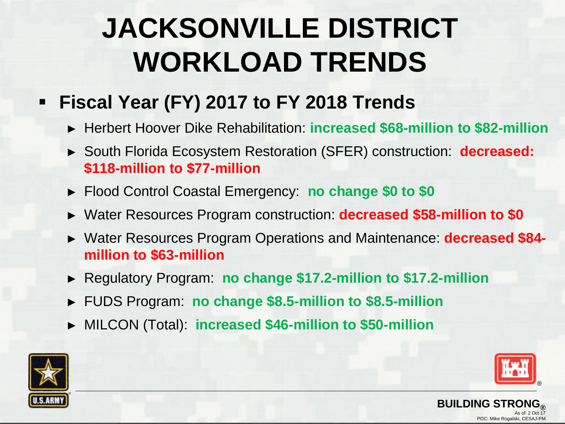# **JACKSONVILLE DISTRICT WORKLOAD TRENDS**

- **Fiscal Year (FY) 2017 to FY 2018 Trends**
	- ► Herbert Hoover Dike Rehabilitation: **increased \$68-million to \$82-million**
	- ► South Florida Ecosystem Restoration (SFER) construction: **decreased: \$118-million to \$77-million**
	- ► Flood Control Coastal Emergency: **no change \$0 to \$0**
	- ► Water Resources Program construction: **decreased \$58-million to \$0**
	- ► Water Resources Program Operations and Maintenance: **decreased \$84 million to \$63-million**
	- ► Regulatory Program: **no change \$17.2-million to \$17.2-million**
	- ► FUDS Program: **no change \$8.5-million to \$8.5-million**
	- ► MILCON (Total): **increased \$46-million to \$50-million**





POC: Mike Rogalski, CESAJ-PM

As of: 2 Oct 17

**BUILDING STRO**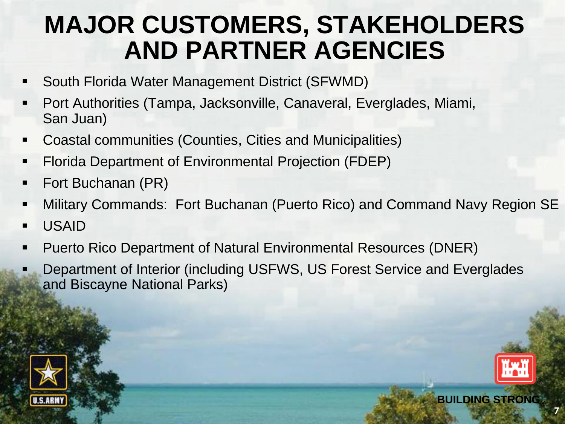### **MAJOR CUSTOMERS, STAKEHOLDERS AND PARTNER AGENCIES**

- South Florida Water Management District (SFWMD)
- Port Authorities (Tampa, Jacksonville, Canaveral, Everglades, Miami, San Juan)
- Coastal communities (Counties, Cities and Municipalities)
- Florida Department of Environmental Projection (FDEP)
- Fort Buchanan (PR)
- Military Commands: Fort Buchanan (Puerto Rico) and Command Navy Region SE
- **USAID**
- Puerto Rico Department of Natural Environmental Resources (DNER)
- Department of Interior (including USFWS, US Forest Service and Everglades and Biscayne National Parks)





POC: Mike Rogalski, CESAJ-PM

As of: 2 Oct 17

**7**

**BUILDING STRONG® BUILDING STRONG®**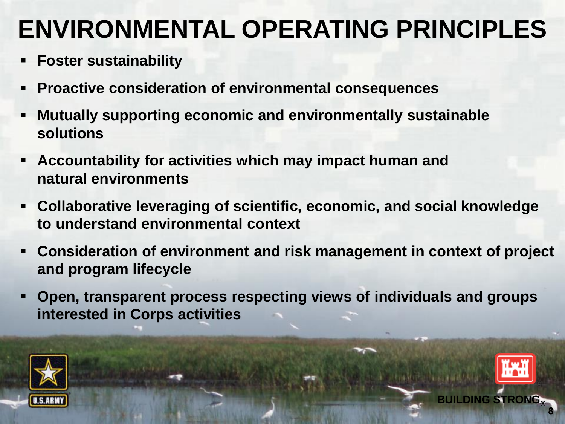### **ENVIRONMENTAL OPERATING PRINCIPLES**

- **Foster sustainability**
- **Proactive consideration of environmental consequences**
- **Mutually supporting economic and environmentally sustainable solutions**
- **Accountability for activities which may impact human and natural environments**
- **Collaborative leveraging of scientific, economic, and social knowledge to understand environmental context**
- **Consideration of environment and risk management in context of project and program lifecycle**

**BUILDING STRONG® BUILDING STRONG®**

As of: 2 Oct 17

**8**

POC: Mike Rogalski, CESAJ-PM

**Open, transparent process respecting views of individuals and groups interested in Corps activities**

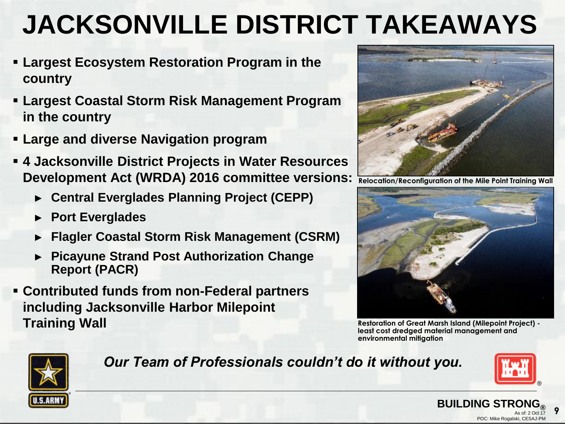### **JACKSONVILLE DISTRICT TAKEAWAYS**

- **Largest Ecosystem Restoration Program in the country**
- **Largest Coastal Storm Risk Management Program in the country**
- **Large and diverse Navigation program**
- **4 Jacksonville District Projects in Water Resources Development Act (WRDA) 2016 committee versions:** 
	- ► **Central Everglades Planning Project (CEPP)**
	- ► **Port Everglades**
	- ► **Flagler Coastal Storm Risk Management (CSRM)**
	- ► **Picayune Strand Post Authorization Change Report (PACR)**
- **Contributed funds from non-Federal partners including Jacksonville Harbor Milepoint Training Wall**



**Relocation/Reconfiguration of the Mile Point Training Wall**



**Restoration of Great Marsh Island (Milepoint Project) least cost dredged material management and environmental mitigation**

**BUILDING STR** 



#### *Our Team of Professionals couldn't do it without you.*



POC: Mike Rogalski, CESAJ-PM

As of: 2 Oct 17

**9**